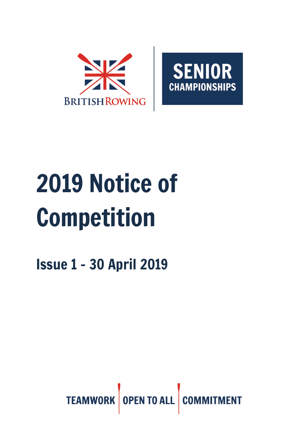



# 2019 Notice of Competition

Issue 1 – 30 April 2019

TEAMWORK OPEN TO ALL **COI**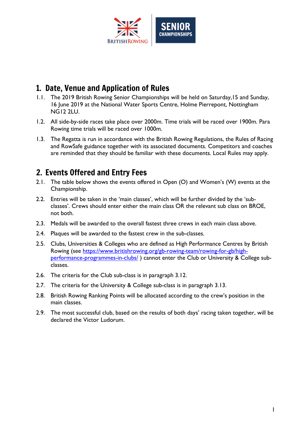

# 1. Date, Venue and Application of Rules

- 1.1. The 2019 British Rowing Senior Championships will be held on Saturday,15 and Sunday, 16 June 2019 at the National Water Sports Centre, Holme Pierrepont, Nottingham NG12 2LU.
- 1.2. All side-by-side races take place over 2000m. Time trials will be raced over 1900m. Para Rowing time trials will be raced over 1000m.
- 1.3. The Regatta is run in accordance with the British Rowing Regulations, the Rules of Racing and RowSafe guidance together with its associated documents. Competitors and coaches are reminded that they should be familiar with these documents. Local Rules may apply.

# 2. Events Offered and Entry Fees

- 2.1. The table below shows the events offered in Open (O) and Women's (W) events at the Championship.
- 2.2. Entries will be taken in the 'main classes', which will be further divided by the 'subclasses'. Crews should enter either the main class OR the relevant sub class on BROE, not both.
- 2.3. Medals will be awarded to the overall fastest three crews in each main class above.
- 2.4. Plaques will be awarded to the fastest crew in the sub-classes.
- 2.5. Clubs, Universities & Colleges who are defined as High Performance Centres by British Rowing (see [https://www.britishrowing.org/gb-rowing-team/rowing-for-gb/high](https://www.britishrowing.org/gb-rowing-team/rowing-for-gb/high-performance-programmes-in-clubs/)[performance-programmes-in-clubs/](https://www.britishrowing.org/gb-rowing-team/rowing-for-gb/high-performance-programmes-in-clubs/)) cannot enter the Club or University & College subclasses.
- 2.6. The criteria for the Club sub-class is in paragraph 3.12.
- 2.7. The criteria for the University & College sub-class is in paragraph 3.13.
- 2.8. British Rowing Ranking Points will be allocated according to the crew's position in the main classes.
- 2.9. The most successful club, based on the results of both days' racing taken together, will be declared the Victor Ludorum.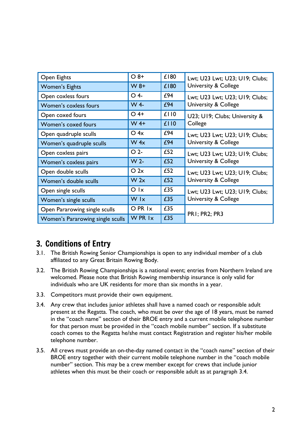| Open Eights                      | $O_8+$                  | £180 | Lwt; U23 Lwt; U23; U19; Clubs;                                    |  |
|----------------------------------|-------------------------|------|-------------------------------------------------------------------|--|
| <b>Women's Eights</b>            | $W8+$                   | £180 | <b>University &amp; College</b>                                   |  |
| Open coxless fours               | $O$ 4-                  | £94  | Lwt; U23 Lwt; U23; U19; Clubs;<br><b>University &amp; College</b> |  |
| Women's coxless fours            | W 4-                    | £94  |                                                                   |  |
| Open coxed fours                 | $O$ 4+                  | £110 | U23; U19; Clubs; University &                                     |  |
| Women's coxed fours              | $W$ 4+                  | £110 | College                                                           |  |
| Open quadruple sculls            | $O$ 4x                  | £94  | Lwt; U23 Lwt; U23; U19; Clubs;<br><b>University &amp; College</b> |  |
| Women's quadruple sculls         | W 4x                    | £94  |                                                                   |  |
| Open coxless pairs               | O <sub>2</sub>          | £52  | Lwt; U23 Lwt; U23; U19; Clubs;<br><b>University &amp; College</b> |  |
| Women's coxless pairs            | W <sub>2</sub>          | £52  |                                                                   |  |
| Open double sculls               | O 2x                    | £52  | Lwt; U23 Lwt; U23; U19; Clubs;<br><b>University &amp; College</b> |  |
| Women's double sculls            | W 2x                    | £52  |                                                                   |  |
| Open single sculls               | $O$ $\mathsf{I} \times$ | £35  | Lwt; U23 Lwt; U23; U19; Clubs;<br><b>University &amp; College</b> |  |
| Women's single sculls            | W Ix                    | £35  |                                                                   |  |
| Open Pararowing single sculls    | O PR 1x                 | £35  |                                                                   |  |
| Women's Pararowing single sculls | W PR 1x                 | £35  | <b>PRI</b> ; PR2; PR3                                             |  |

# 3. Conditions of Entry

- 3.1. The British Rowing Senior Championships is open to any individual member of a club affiliated to any Great Britain Rowing Body.
- 3.2. The British Rowing Championships is a national event; entries from Northern Ireland are welcomed. Please note that British Rowing membership insurance is only valid for individuals who are UK residents for more than six months in a year.
- 3.3. Competitors must provide their own equipment.
- 3.4. Any crew that includes junior athletes shall have a named coach or responsible adult present at the Regatta. The coach, who must be over the age of 18 years, must be named in the "coach name" section of their BROE entry and a current mobile telephone number for that person must be provided in the "coach mobile number" section. If a substitute coach comes to the Regatta he/she must contact Registration and register his/her mobile telephone number.
- 3.5. All crews must provide an on-the-day named contact in the "coach name" section of their BROE entry together with their current mobile telephone number in the "coach mobile number" section. This may be a crew member except for crews that include junior athletes when this must be their coach or responsible adult as at paragraph 3.4.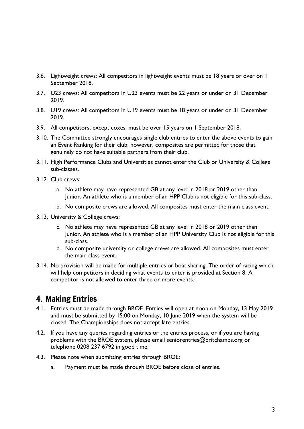- 3.6. Lightweight crews: All competitors in lightweight events must be 18 years or over on 1 September 2018.
- 3.7. U23 crews: All competitors in U23 events must be 22 years or under on 31 December 2019.
- 3.8. U19 crews: All competitors in U19 events must be 18 years or under on 31 December 2019.
- 3.9. All competitors, except coxes, must be over 15 years on 1 September 2018.
- 3.10. The Committee strongly encourages single club entries to enter the above events to gain an Event Ranking for their club; however, composites are permitted for those that genuinely do not have suitable partners from their club.
- 3.11. High Performance Clubs and Universities cannot enter the Club or University & College sub-classes.
- 3.12. Club crews:
	- a. No athlete may have represented GB at any level in 2018 or 2019 other than Junior. An athlete who is a member of an HPP Club is not eligible for this sub-class.
	- b. No composite crews are allowed. All composites must enter the main class event.
- 3.13. University & College crews:
	- c. No athlete may have represented GB at any level in 2018 or 2019 other than Junior. An athlete who is a member of an HPP University Club is not eligible for this sub-class.
	- d. No composite university or college crews are allowed. All composites must enter the main class event.
- 3.14. No provision will be made for multiple entries or boat sharing. The order of racing which will help competitors in deciding what events to enter is provided at Section 8. A competitor is not allowed to enter three or more events.

#### 4. Making Entries

- 4.1. Entries must be made through BROE. Entries will open at noon on Monday, 13 May 2019 and must be submitted by 15:00 on Monday, 10 June 2019 when the system will be closed. The Championships does not accept late entries.
- 4.2. If you have any queries regarding entries or the entries process, or if you are having problems with the BROE system, please email seniorentries@britchamps.org or telephone 0208 237 6792 in good time.
- 4.3. Please note when submitting entries through BROE:
	- a. Payment must be made through BROE before close of entries.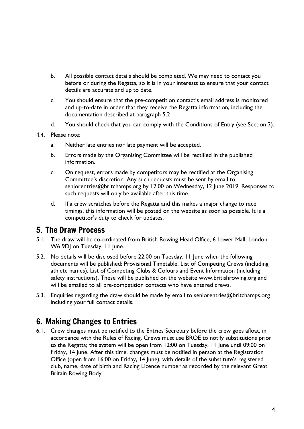- b. All possible contact details should be completed. We may need to contact you before or during the Regatta, so it is in your interests to ensure that your contact details are accurate and up to date.
- c. You should ensure that the pre-competition contact's email address is monitored and up-to-date in order that they receive the Regatta information, including the documentation described at paragraph 5.2
- d. You should check that you can comply with the Conditions of Entry (see Section 3).

#### 4.4. Please note:

- a. Neither late entries nor late payment will be accepted.
- b. Errors made by the Organising Committee will be rectified in the published information.
- c. On request, errors made by competitors may be rectified at the Organising Committee's discretion. Any such requests must be sent by email to seniorentries@britchamps.org by 12:00 on Wednesday, 12 June 2019. Responses to such requests will only be available after this time.
- d. If a crew scratches before the Regatta and this makes a major change to race timings, this information will be posted on the website as soon as possible. It is a competitor's duty to check for updates.

#### 5. The Draw Process

- 5.1. The draw will be co-ordinated from British Rowing Head Office, 6 Lower Mall, London W6 9DJ on Tuesday, 11 June.
- 5.2. No details will be disclosed before 22:00 on Tuesday, 11 June when the following documents will be published: Provisional Timetable, List of Competing Crews (including athlete names), List of Competing Clubs & Colours and Event Information (including safety instructions). These will be published on the website www.britishrowing.org and will be emailed to all pre-competition contacts who have entered crews.
- 5.3. Enquiries regarding the draw should be made by email to seniorentries@britchamps.org including your full contact details.

#### 6. Making Changes to Entries

6.1. Crew changes must be notified to the Entries Secretary before the crew goes afloat, in accordance with the Rules of Racing. Crews must use BROE to notify substitutions prior to the Regatta; the system will be open from 12:00 on Tuesday, 11 June until 09:00 on Friday, 14 June. After this time, changes must be notified in person at the Registration Office (open from 16:00 on Friday, 14 June), with details of the substitute's registered club, name, date of birth and Racing Licence number as recorded by the relevant Great Britain Rowing Body.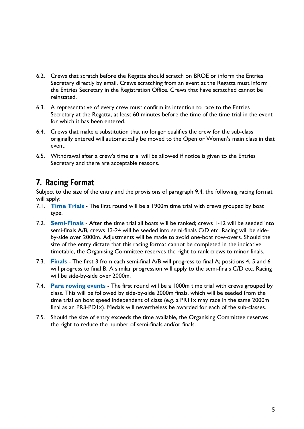- 6.2. Crews that scratch before the Regatta should scratch on BROE or inform the Entries Secretary directly by email. Crews scratching from an event at the Regatta must inform the Entries Secretary in the Registration Office. Crews that have scratched cannot be reinstated.
- 6.3. A representative of every crew must confirm its intention to race to the Entries Secretary at the Regatta, at least 60 minutes before the time of the time trial in the event for which it has been entered.
- 6.4. Crews that make a substitution that no longer qualifies the crew for the sub-class originally entered will automatically be moved to the Open or Women's main class in that event.
- 6.5. Withdrawal after a crew's time trial will be allowed if notice is given to the Entries Secretary and there are acceptable reasons.

# 7. Racing Format

Subject to the size of the entry and the provisions of paragraph 9.4, the following racing format will apply:

- 7.1. **Time Trials** The first round will be a 1900m time trial with crews grouped by boat type.
- 7.2. **Semi-Finals** After the time trial all boats will be ranked; crews 1-12 will be seeded into semi-finals A/B, crews 13-24 will be seeded into semi-finals C/D etc. Racing will be sideby-side over 2000m. Adjustments will be made to avoid one-boat row-overs. Should the size of the entry dictate that this racing format cannot be completed in the indicative timetable, the Organising Committee reserves the right to rank crews to minor finals.
- 7.3. **Finals** The first 3 from each semi-final A/B will progress to final A; positions 4, 5 and 6 will progress to final B. A similar progression will apply to the semi-finals C/D etc. Racing will be side-by-side over 2000m.
- 7.4. **Para rowing events** The first round will be a 1000m time trial with crews grouped by class. This will be followed by side-by-side 2000m finals, which will be seeded from the time trial on boat speed independent of class (e.g. a PRIIx may race in the same 2000m final as an PR3-PD1x). Medals will nevertheless be awarded for each of the sub-classes.
- 7.5. Should the size of entry exceeds the time available, the Organising Committee reserves the right to reduce the number of semi-finals and/or finals.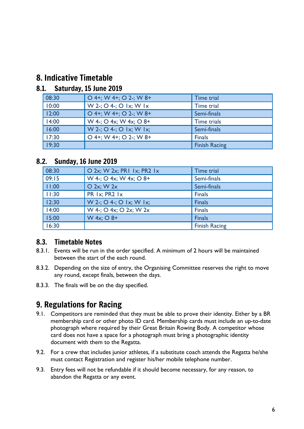## 8. Indicative Timetable

#### 8.1. Saturday, 15 June 2019

| 08:30 | $O$ 4+; W 4+; O 2-; W 8+  | Time trial           |
|-------|---------------------------|----------------------|
| 10:00 | $W$ 2-; O 4-; O 1x; W 1x  | Time trial           |
| 12:00 | $O$ 4+; W 4+; O 2-; W 8+  | Semi-finals          |
| 14:00 | $W$ 4-; O 4x; W 4x; O 8+  | Time trials          |
| 16:00 | $W$ 2-; O 4-; O 1x; W 1x; | Semi-finals          |
| 17:30 | $O$ 4+; W 4+; O 2-; W 8+  | <b>Finals</b>        |
| 19:30 |                           | <b>Finish Racing</b> |

#### 8.2. Sunday, 16 June 2019

| 08:30 | O 2x; W 2x; PR1 1x; PR2 1x | Time trial           |
|-------|----------------------------|----------------------|
| 09:15 | W 4-; O 4x; W 4x; O 8+     | Semi-finals          |
| 11:00 | $O$ 2x; W 2x               | Semi-finals          |
| 11:30 | PR Ix; PR2 Ix              | <b>Finals</b>        |
| 12:30 | W 2-; O 4-; O 1x; W 1x;    | <b>Finals</b>        |
| 14:00 | W 4-; O 4x; O 2x; W 2x     | <b>Finals</b>        |
| 15:00 | W 4x; O 8+                 | <b>Finals</b>        |
| 16:30 |                            | <b>Finish Racing</b> |

#### 8.3. Timetable Notes

- 8.3.1. Events will be run in the order specified. A minimum of 2 hours will be maintained between the start of the each round.
- 8.3.2. Depending on the size of entry, the Organising Committee reserves the right to move any round, except finals, between the days.
- 8.3.3. The finals will be on the day specified.

# 9. Regulations for Racing

- 9.1. Competitors are reminded that they must be able to prove their identity. Either by a BR membership card or other photo ID card. Membership cards must include an up-to-date photograph where required by their Great Britain Rowing Body. A competitor whose card does not have a space for a photograph must bring a photographic identity document with them to the Regatta.
- 9.2. For a crew that includes junior athletes, if a substitute coach attends the Regatta he/she must contact Registration and register his/her mobile telephone number.
- 9.3. Entry fees will not be refundable if it should become necessary, for any reason, to abandon the Regatta or any event.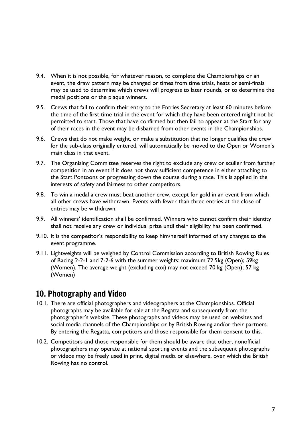- 9.4. When it is not possible, for whatever reason, to complete the Championships or an event, the draw pattern may be changed or times from time trials, heats or semi-finals may be used to determine which crews will progress to later rounds, or to determine the medal positions or the plaque winners.
- 9.5. Crews that fail to confirm their entry to the Entries Secretary at least 60 minutes before the time of the first time trial in the event for which they have been entered might not be permitted to start. Those that have confirmed but then fail to appear at the Start for any of their races in the event may be disbarred from other events in the Championships.
- 9.6. Crews that do not make weight, or make a substitution that no longer qualifies the crew for the sub-class originally entered, will automatically be moved to the Open or Women's main class in that event.
- 9.7. The Organising Committee reserves the right to exclude any crew or sculler from further competition in an event if it does not show sufficient competence in either attaching to the Start Pontoons or progressing down the course during a race. This is applied in the interests of safety and fairness to other competitors.
- 9.8. To win a medal a crew must beat another crew, except for gold in an event from which all other crews have withdrawn. Events with fewer than three entries at the close of entries may be withdrawn.
- 9.9. All winners' identification shall be confirmed. Winners who cannot confirm their identity shall not receive any crew or individual prize until their eligibility has been confirmed.
- 9.10. It is the competitor's responsibility to keep him/herself informed of any changes to the event programme.
- 9.11. Lightweights will be weighed by Control Commission according to British Rowing Rules of Racing 2-2-1 and 7-2-6 with the summer weights: maximum 72.5kg (Open); 59kg (Women). The average weight (excluding cox) may not exceed 70 kg (Open); 57 kg (Women)

### 10. Photography and Video

- 10.1. There are official photographers and videographers at the Championships. Official photographs may be available for sale at the Regatta and subsequently from the photographer's website. These photographs and videos may be used on websites and social media channels of the Championships or by British Rowing and/or their partners. By entering the Regatta, competitors and those responsible for them consent to this.
- 10.2. Competitors and those responsible for them should be aware that other, nonofficial photographers may operate at national sporting events and the subsequent photographs or videos may be freely used in print, digital media or elsewhere, over which the British Rowing has no control.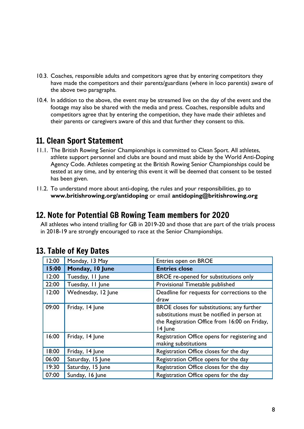- 10.3. Coaches, responsible adults and competitors agree that by entering competitors they have made the competitors and their parents/guardians (where in loco parentis) aware of the above two paragraphs.
- 10.4. In addition to the above, the event may be streamed live on the day of the event and the footage may also be shared with the media and press. Coaches, responsible adults and competitors agree that by entering the competition, they have made their athletes and their parents or caregivers aware of this and that further they consent to this.

# 11. Clean Sport Statement

- 11.1. The British Rowing Senior Championships is committed to Clean Sport. All athletes, athlete support personnel and clubs are bound and must abide by the World Anti-Doping Agency Code. Athletes competing at the British Rowing Senior Championships could be tested at any time, and by entering this event it will be deemed that consent to be tested has been given.
- 11.2. To understand more about anti-doping, the rules and your responsibilities, go to **www.britishrowing.org/antidoping** or email **antidoping@britishrowing.org**

## 12. Note for Potential GB Rowing Team members for 2020

All athletes who intend trialling for GB in 2019-20 and those that are part of the trials process in 2018-19 are strongly encouraged to race at the Senior Championships.

| 12:00 | Monday, 13 May     | Entries open on BROE                                                                                                                                  |
|-------|--------------------|-------------------------------------------------------------------------------------------------------------------------------------------------------|
| 15:00 | Monday, 10 June    | <b>Entries close</b>                                                                                                                                  |
| 12:00 | Tuesday, 11 June   | BROE re-opened for substitutions only                                                                                                                 |
| 22:00 | Tuesday, 11 June   | Provisional Timetable published                                                                                                                       |
| 12:00 | Wednesday, 12 June | Deadline for requests for corrections to the<br>draw                                                                                                  |
| 09:00 | Friday, 14 June    | BROE closes for substitutions; any further<br>substitutions must be notified in person at<br>the Registration Office from 16:00 on Friday,<br>14 June |
| 16:00 | Friday, 14 June    | Registration Office opens for registering and<br>making substitutions                                                                                 |
| 18:00 | Friday, 14 June    | Registration Office closes for the day                                                                                                                |
| 06:00 | Saturday, 15 June  | Registration Office opens for the day                                                                                                                 |
| 19:30 | Saturday, 15 June  | Registration Office closes for the day                                                                                                                |
| 07:00 | Sunday, 16 June    | Registration Office opens for the day                                                                                                                 |

## 13. Table of Key Dates